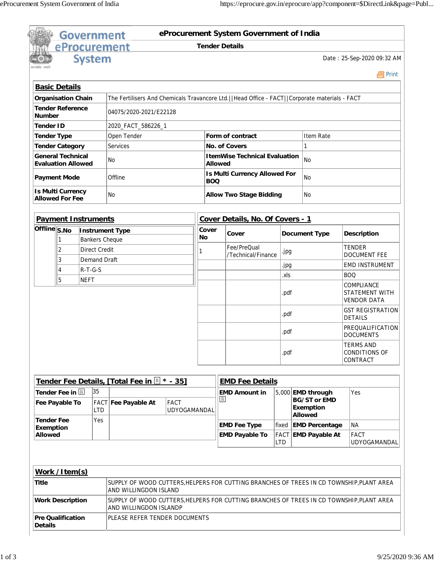|                                                             |                        | Government            |            | eProcurement                                                                                                       |                                    | <b>Tender Details</b>         |                |                                      |            |                                                           |                                                                  |  |  |  |
|-------------------------------------------------------------|------------------------|-----------------------|------------|--------------------------------------------------------------------------------------------------------------------|------------------------------------|-------------------------------|----------------|--------------------------------------|------------|-----------------------------------------------------------|------------------------------------------------------------------|--|--|--|
|                                                             |                        | <b>System</b>         |            |                                                                                                                    |                                    |                               |                |                                      |            |                                                           | Date: 25-Sep-2020 09:32 AM                                       |  |  |  |
|                                                             |                        |                       |            |                                                                                                                    |                                    |                               |                |                                      |            |                                                           | 昌 Print                                                          |  |  |  |
| <b>Basic Details</b>                                        |                        |                       |            |                                                                                                                    |                                    |                               |                |                                      |            |                                                           |                                                                  |  |  |  |
| <b>Organisation Chain</b>                                   |                        |                       |            | The Fertilisers And Chemicals Travancore Ltd.     Head Office - FACT     Corporate materials - FACT                |                                    |                               |                |                                      |            |                                                           |                                                                  |  |  |  |
| <b>Tender Reference</b><br><b>Number</b>                    |                        |                       |            | 04075/2020-2021/E22128                                                                                             |                                    |                               |                |                                      |            |                                                           |                                                                  |  |  |  |
| <b>Tender ID</b>                                            |                        |                       |            | 2020_FACT_586226_1                                                                                                 |                                    |                               |                |                                      |            |                                                           |                                                                  |  |  |  |
| <b>Tender Type</b>                                          |                        |                       |            | Open Tender                                                                                                        |                                    | Form of contract<br>Item Rate |                |                                      |            |                                                           |                                                                  |  |  |  |
| <b>Tender Category</b>                                      |                        |                       |            | Services                                                                                                           |                                    |                               |                | <b>No. of Covers</b>                 | 1          |                                                           |                                                                  |  |  |  |
| <b>General Technical</b><br><b>Evaluation Allowed</b>       |                        |                       |            | <b>No</b>                                                                                                          |                                    |                               | <b>Allowed</b> | <b>ItemWise Technical Evaluation</b> | <b>No</b>  |                                                           |                                                                  |  |  |  |
| <b>Payment Mode</b>                                         |                        |                       |            | Offline                                                                                                            |                                    |                               | <b>BOQ</b>     | <b>Is Multi Currency Allowed For</b> |            | <b>No</b>                                                 |                                                                  |  |  |  |
| <b>Is Multi Currency</b><br><b>Allowed For Fee</b>          |                        |                       |            | No                                                                                                                 |                                    |                               |                | <b>Allow Two Stage Bidding</b>       |            | No                                                        |                                                                  |  |  |  |
|                                                             |                        |                       |            |                                                                                                                    |                                    |                               |                |                                      |            |                                                           |                                                                  |  |  |  |
| <b>Payment Instruments</b>                                  |                        |                       |            |                                                                                                                    |                                    |                               |                | Cover Details, No. Of Covers - 1     |            |                                                           |                                                                  |  |  |  |
| $\overline{\text{Offline}}$ $\overline{\text{s}.\text{No}}$ |                        |                       |            | <b>Instrument Type</b>                                                                                             |                                    | Cover                         |                | Cover                                |            | <b>Document Type</b>                                      | <b>Description</b>                                               |  |  |  |
|                                                             |                        | <b>Bankers Cheque</b> |            |                                                                                                                    |                                    | No                            |                |                                      |            |                                                           |                                                                  |  |  |  |
|                                                             | 2                      | <b>Direct Credit</b>  |            |                                                                                                                    |                                    |                               |                | Fee/PreQual<br>/Technical/Finance    | .jpg       |                                                           | <b>TENDER</b><br><b>DOCUMENT FEE</b>                             |  |  |  |
|                                                             | 3                      | Demand Draft          |            |                                                                                                                    |                                    |                               |                |                                      | .jpg       |                                                           | <b>EMD INSTRUMENT</b>                                            |  |  |  |
|                                                             | 4                      | $R-T-G-S$             |            |                                                                                                                    |                                    |                               |                |                                      | .xls       |                                                           | <b>BOQ</b>                                                       |  |  |  |
|                                                             | 5                      | <b>NEFT</b>           |            |                                                                                                                    |                                    |                               |                |                                      | .pdf       |                                                           | <b>COMPLIANCE</b><br><b>STATEMENT WITH</b><br><b>VENDOR DATA</b> |  |  |  |
|                                                             |                        |                       |            |                                                                                                                    |                                    |                               |                |                                      | .pdf       |                                                           | <b>GST REGISTRATION</b><br><b>DETAILS</b>                        |  |  |  |
|                                                             |                        |                       |            |                                                                                                                    |                                    |                               |                |                                      | .pdf       |                                                           | PREQUALIFICATION<br><b>DOCUMENTS</b>                             |  |  |  |
|                                                             |                        |                       |            |                                                                                                                    |                                    |                               |                |                                      | .pdf       |                                                           | <b>TERMS AND</b><br><b>CONDITIONS OF</b><br>CONTRACT             |  |  |  |
|                                                             |                        |                       |            | Tender Fee Details, [Total Fee in $\mathbb{N}$ * - 35]                                                             |                                    |                               |                | <b>EMD Fee Details</b>               |            |                                                           |                                                                  |  |  |  |
|                                                             | Tender Fee in <b>N</b> | 35                    |            |                                                                                                                    |                                    |                               |                | <b>EMD Amount in</b>                 |            | $5,000$ EMD through                                       | Yes                                                              |  |  |  |
|                                                             | Fee Payable To         |                       | <b>LTD</b> | FACT Fee Payable At                                                                                                | <b>FACT</b><br><b>UDYOGAMANDAL</b> |                               | 图              |                                      |            | <b>BG/ST or EMD</b><br><b>Exemption</b><br><b>Allowed</b> |                                                                  |  |  |  |
| <b>Tender Fee</b>                                           |                        |                       | Yes        |                                                                                                                    |                                    |                               |                | <b>EMD Fee Type</b>                  |            | fixed   EMD Percentage                                    | <b>NA</b>                                                        |  |  |  |
| <b>Exemption</b><br><b>Allowed</b>                          |                        |                       |            |                                                                                                                    |                                    |                               |                | <b>EMD Payable To</b>                |            | FACT EMD Payable At                                       | <b>FACT</b>                                                      |  |  |  |
|                                                             |                        |                       |            |                                                                                                                    |                                    |                               |                |                                      | <b>LTD</b> |                                                           | UDYOGAMANDAL                                                     |  |  |  |
|                                                             |                        |                       |            |                                                                                                                    |                                    |                               |                |                                      |            |                                                           |                                                                  |  |  |  |
|                                                             | Work /Item(s)          |                       |            |                                                                                                                    |                                    |                               |                |                                      |            |                                                           |                                                                  |  |  |  |
| <b>Title</b>                                                |                        |                       |            | SUPPLY OF WOOD CUTTERS, HELPERS FOR CUTTING BRANCHES OF TREES IN CD TOWNSHIP, PLANT AREA<br>AND WILLINGDON ISLAND  |                                    |                               |                |                                      |            |                                                           |                                                                  |  |  |  |
| <b>Work Description</b>                                     |                        |                       |            | SUPPLY OF WOOD CUTTERS, HELPERS FOR CUTTING BRANCHES OF TREES IN CD TOWNSHIP, PLANT AREA<br>AND WILLINGDON ISLANDP |                                    |                               |                |                                      |            |                                                           |                                                                  |  |  |  |
| <b>Pre Qualification</b>                                    | <b>Details</b>         |                       |            | PLEASE REFER TENDER DOCUMENTS                                                                                      |                                    |                               |                |                                      |            |                                                           |                                                                  |  |  |  |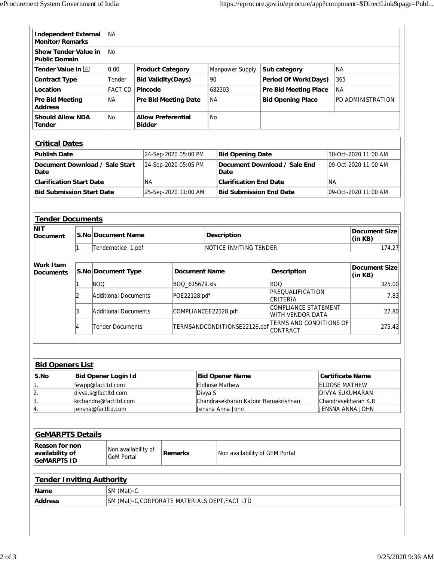| <b>Independent External</b><br>Monitor/Remarks                 |                                                     |            | <b>NA</b>                                                  |               |                             |                      |                                                                     |                                                                  |                             |                              |           |                                         |                                 |  |
|----------------------------------------------------------------|-----------------------------------------------------|------------|------------------------------------------------------------|---------------|-----------------------------|----------------------|---------------------------------------------------------------------|------------------------------------------------------------------|-----------------------------|------------------------------|-----------|-----------------------------------------|---------------------------------|--|
|                                                                | <b>Show Tender Value in</b><br><b>Public Domain</b> |            | <b>No</b>                                                  |               |                             |                      |                                                                     |                                                                  |                             |                              |           |                                         |                                 |  |
| Tender Value in <b>N</b>                                       |                                                     |            | 0.00<br><b>Product Category</b>                            |               |                             |                      | Manpower Supply                                                     |                                                                  | Sub category                |                              | <b>NA</b> |                                         |                                 |  |
| <b>Contract Type</b>                                           |                                                     | Tender     | <b>Bid Validity (Days)</b>                                 |               |                             |                      | 90                                                                  |                                                                  | <b>Period Of Work(Days)</b> |                              | 365       |                                         |                                 |  |
| Location                                                       |                                                     |            | <b>FACT CD</b>                                             | Pincode       |                             |                      |                                                                     | 682303                                                           |                             | <b>Pre Bid Meeting Place</b> |           |                                         | <b>NA</b>                       |  |
| <b>Pre Bid Meeting</b><br><b>Address</b>                       |                                                     |            | <b>NA</b>                                                  |               | <b>Pre Bid Meeting Date</b> |                      |                                                                     | <b>NA</b>                                                        |                             | <b>Bid Opening Place</b>     |           | PD ADMINISTRATION                       |                                 |  |
| <b>Should Allow NDA</b><br><b>Tender</b>                       |                                                     |            | No                                                         | <b>Bidder</b> | <b>Allow Preferential</b>   |                      |                                                                     | No                                                               |                             |                              |           |                                         |                                 |  |
| <b>Critical Dates</b>                                          |                                                     |            |                                                            |               |                             |                      |                                                                     |                                                                  |                             |                              |           |                                         |                                 |  |
| <b>Publish Date</b>                                            |                                                     |            | 24-Sep-2020 05:00 PM                                       |               |                             |                      | <b>Bid Opening Date</b>                                             |                                                                  |                             |                              |           |                                         | 10-Oct-2020 11:00 AM            |  |
| Document Download / Sale Start<br>Date                         |                                                     |            | 24-Sep-2020 05:05 PM                                       |               |                             |                      | Date                                                                |                                                                  |                             | Document Download / Sale End |           |                                         | 09-Oct-2020 11:00 AM            |  |
| <b>Clarification Start Date</b>                                |                                                     |            |                                                            | <b>NA</b>     |                             |                      |                                                                     | <b>Clarification End Date</b>                                    |                             |                              |           | <b>NA</b>                               |                                 |  |
| <b>Bid Submission Start Date</b>                               |                                                     |            |                                                            |               |                             | 25-Sep-2020 11:00 AM |                                                                     | <b>Bid Submission End Date</b>                                   |                             |                              |           | 09-Oct-2020 11:00 AM                    |                                 |  |
| <b>Tender Documents</b>                                        |                                                     |            |                                                            |               |                             |                      |                                                                     |                                                                  |                             |                              |           |                                         |                                 |  |
| <b>NIT</b>                                                     |                                                     |            |                                                            |               |                             |                      |                                                                     |                                                                  |                             |                              |           |                                         | <b>Document Size</b>            |  |
| <b>Document</b>                                                |                                                     |            | S.No Document Name                                         |               |                             |                      |                                                                     | <b>Description</b>                                               |                             |                              |           | (in KB)                                 |                                 |  |
|                                                                | 1                                                   |            | Tendernotice_1.pdf                                         |               |                             |                      |                                                                     | NOTICE INVITING TENDER                                           |                             |                              |           |                                         | 174.27                          |  |
| Work Item<br><b>Documents</b>                                  |                                                     |            | S.No Document Type<br><b>Document Name</b>                 |               |                             |                      |                                                                     | <b>Description</b>                                               |                             |                              |           |                                         | <b>Document Size</b><br>(in KB) |  |
|                                                                |                                                     | <b>BOQ</b> |                                                            |               |                             | BOQ_615679.xls       |                                                                     |                                                                  |                             | <b>BOQ</b>                   |           |                                         | 325.00                          |  |
|                                                                |                                                     |            | Additional Documents                                       |               |                             | PQE22128.pdf         |                                                                     |                                                                  |                             | PREQUALIFICATION<br>CRITERIA |           |                                         | 7.83                            |  |
|                                                                |                                                     |            | Additional Documents                                       |               |                             |                      |                                                                     | COMPLIANCE STATEMENT<br>COMPLIANCEE22128.pdf<br>WITH VENDOR DATA |                             |                              |           |                                         | 27.80                           |  |
|                                                                |                                                     |            | Tender Documents                                           |               |                             |                      | TERMS AND CONDITIONS OF<br>TERMSANDCONDITIONSE22128.pdf<br>CONTRACT |                                                                  |                             |                              |           |                                         | 275.42                          |  |
| <b>Bid Openers List</b>                                        |                                                     |            |                                                            |               |                             |                      |                                                                     |                                                                  |                             |                              |           |                                         |                                 |  |
| S.No                                                           |                                                     |            | <b>Bid Opener Login Id</b>                                 |               |                             |                      |                                                                     | <b>Bid Opener Name</b>                                           |                             |                              |           |                                         | <b>Certificate Name</b>         |  |
| 1.                                                             | fewpp@factItd.com                                   |            |                                                            |               |                             |                      | Eldhose Mathew                                                      |                                                                  |                             |                              |           | <b>ELDOSE MATHEW</b>                    |                                 |  |
|                                                                | $\frac{2}{3}$ .<br>divya.s@factItd.com              |            |                                                            |               |                             |                      |                                                                     | Divya S                                                          |                             | DIVYA SUKUMARAN              |           |                                         |                                 |  |
|                                                                |                                                     |            | krchandra@factItd.com                                      |               |                             |                      |                                                                     | Chandrasekharan Katoor Ramakrishnan                              |                             |                              |           | Chandrasekharan K.R<br>JENSNA ANNA JOHN |                                 |  |
| 4.                                                             |                                                     |            | jensna@factItd.com                                         |               |                             |                      |                                                                     | Uensna Anna John                                                 |                             |                              |           |                                         |                                 |  |
| <b>GeMARPTS Details</b>                                        |                                                     |            |                                                            |               |                             |                      |                                                                     |                                                                  |                             |                              |           |                                         |                                 |  |
| <b>Reason for non</b><br>availability of<br><b>GeMARPTS ID</b> |                                                     |            | Non availability of<br><b>Remarks</b><br><b>GeM Portal</b> |               |                             |                      | Non availability of GEM Portal                                      |                                                                  |                             |                              |           |                                         |                                 |  |
| <b>Tender Inviting Authority</b>                               |                                                     |            |                                                            |               |                             |                      |                                                                     |                                                                  |                             |                              |           |                                         |                                 |  |
| Name                                                           |                                                     |            | SM (Mat)-C                                                 |               |                             |                      |                                                                     |                                                                  |                             |                              |           |                                         |                                 |  |
| <b>Address</b>                                                 |                                                     |            |                                                            |               |                             |                      |                                                                     | SM (Mat)-C, CORPORATE MATERIALS DEPT, FACT LTD                   |                             |                              |           |                                         |                                 |  |
|                                                                |                                                     |            |                                                            |               |                             |                      |                                                                     |                                                                  |                             |                              |           |                                         |                                 |  |

 $\overline{\phantom{a}}$